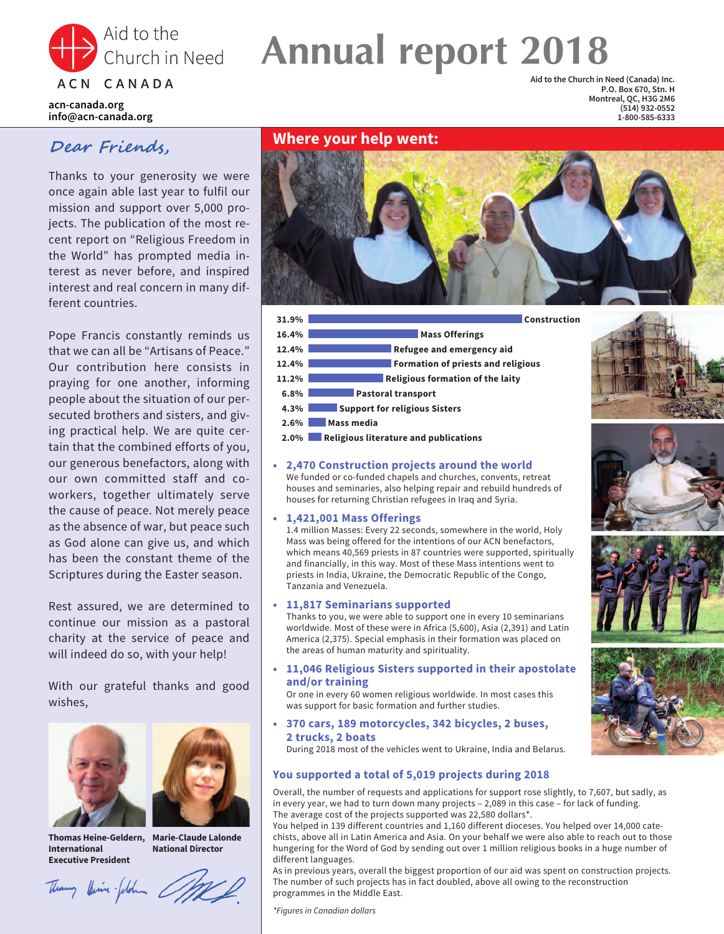

# Church in Need **Annual report 2018**

**acn-canada.org info@acn-canada.org**

### **Dear Friends,**

Thanks to your generosity we were once again able last year to fulfil our mission and support over 5,000 projects. The publication of the most recent report on "Religious Freedom in the World" has prompted media interest as never before, and inspired interest and real concern in many different countries.

Pope Francis constantly reminds us that we can all be "Artisans of Peace." Our contribution here consists in praying for one another, informing people about the situation of our persecuted brothers and sisters, and giving practical help. We are quite certain that the combined efforts of you, our generous benefactors, along with our own committed staff and coworkers, together ultimately serve the cause of peace. Not merely peace as the absence of war, but peace such as God alone can give us, and which has been the constant theme of the Scriptures during the Easter season.

Rest assured, we are determined to continue our mission as a pastoral charity at the service of peace and will indeed do so, with your help!

With our grateful thanks and good wishes,





**Thomas Heine-Geldern, Marie-Claude Lalonde International Executive President**

**National Director**

Themany Vinie plan MR

#### **Where your help went:**





**• 2,470 Construction projects around the world** We funded or co-funded chapels and churches, convents, retreat houses and seminaries, also helping repair and rebuild hundreds of houses for returning Christian refugees in Iraq and Syria.

#### **• 1,421,001 Mass Offerings**

1.4 million Masses: Every 22 seconds, somewhere in the world, Holy Mass was being offered for the intentions of our ACN benefactors, which means 40,569 priests in 87 countries were supported, spiritually and financially, in this way. Most of these Mass intentions went to priests in India, Ukraine, the Democratic Republic of the Congo, Tanzania and Venezuela.

#### **• 11,817 Seminarians supported**

Thanks to you, we were able to support one in every 10 seminarians worldwide. Most of these were in Africa (5,600), Asia (2,391) and Latin America (2,375). Special emphasis in their formation was placed on the areas of human maturity and spirituality.

**• 11,046 Religious Sisters supported in their apostolate and/or training**

Or one in every 60 women religious worldwide. In most cases this was support for basic formation and further studies.

**• 370 cars, 189 motorcycles, 342 bicycles, 2 buses, 2 trucks, 2 boats** During 2018 most of the vehicles went to Ukraine, India and Belarus.

#### **You supported a total of 5,019 projects during 2018**

Overall, the number of requests and applications for support rose slightly, to 7,607, but sadly, as in every year, we had to turn down many projects – 2,089 in this case – for lack of funding. The average cost of the projects supported was 22,580 dollars\*.

Credit: Archdiocese of Bamenda

**Aid to the Church in Need (Canada) Inc.**

**P.O. Box 670, Stn. H Montreal, QC, H3G 2M6 (514) 932-0552 1-800-585-6333**

You helped in 139 different countries and 1,160 different dioceses. You helped over 14,000 catechists, above all in Latin America and Asia. On your behalf we were also able to reach out to those hungering for the Word of God by sending out over 1 million religious books in a huge number of different languages.

As in previous years, overall the biggest proportion of our aid was spent on construction projects. The number of such projects has in fact doubled, above all owing to the reconstruction programmes in the Middle East.

*\*Figures in Canadian dollars*